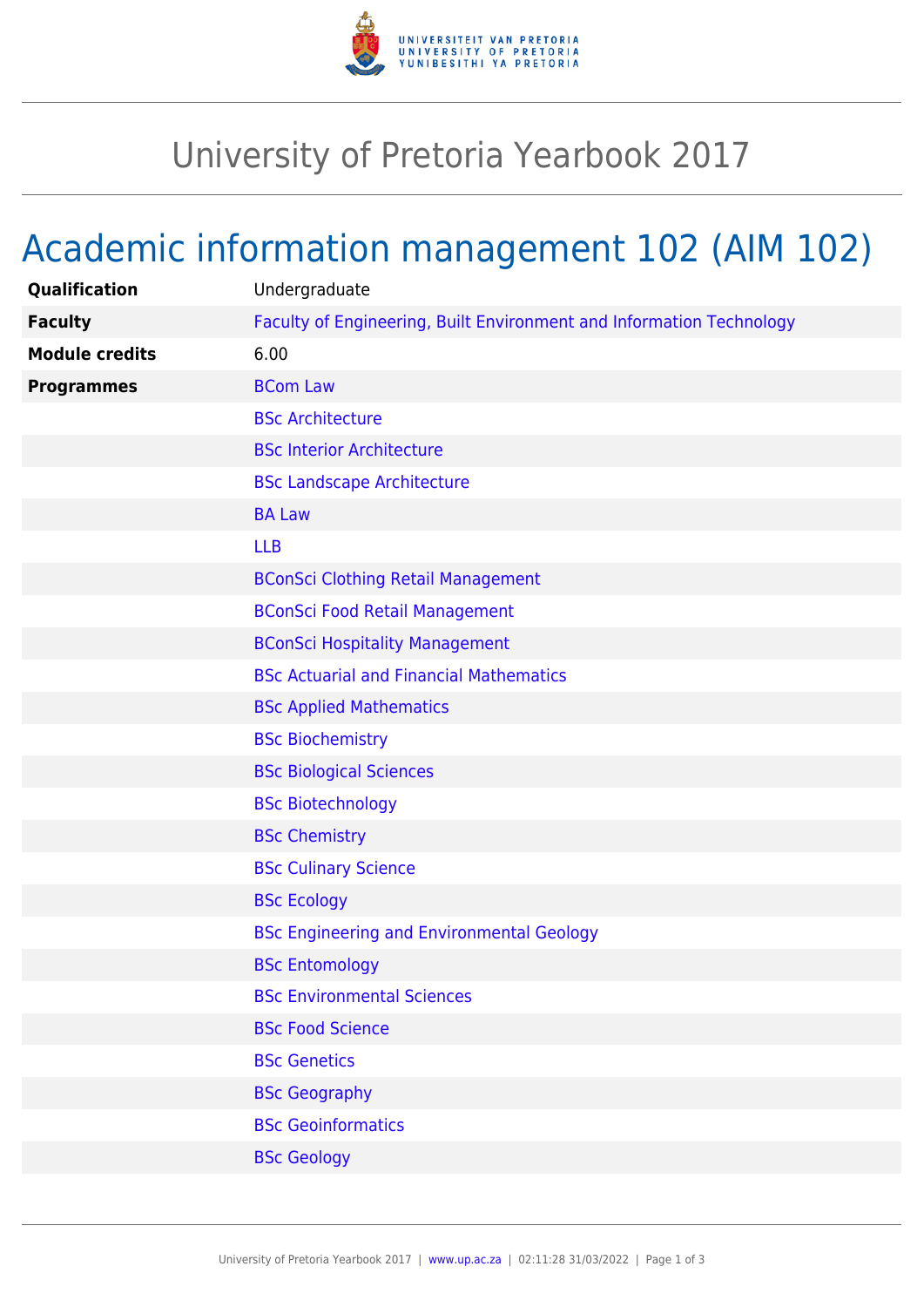

## University of Pretoria Yearbook 2017

## Academic information management 102 (AIM 102)

| Qualification         | Undergraduate                                                        |
|-----------------------|----------------------------------------------------------------------|
| <b>Faculty</b>        | Faculty of Engineering, Built Environment and Information Technology |
| <b>Module credits</b> | 6.00                                                                 |
| <b>Programmes</b>     | <b>BCom Law</b>                                                      |
|                       | <b>BSc Architecture</b>                                              |
|                       | <b>BSc Interior Architecture</b>                                     |
|                       | <b>BSc Landscape Architecture</b>                                    |
|                       | <b>BA Law</b>                                                        |
|                       | <b>LLB</b>                                                           |
|                       | <b>BConSci Clothing Retail Management</b>                            |
|                       | <b>BConSci Food Retail Management</b>                                |
|                       | <b>BConSci Hospitality Management</b>                                |
|                       | <b>BSc Actuarial and Financial Mathematics</b>                       |
|                       | <b>BSc Applied Mathematics</b>                                       |
|                       | <b>BSc Biochemistry</b>                                              |
|                       | <b>BSc Biological Sciences</b>                                       |
|                       | <b>BSc Biotechnology</b>                                             |
|                       | <b>BSc Chemistry</b>                                                 |
|                       | <b>BSc Culinary Science</b>                                          |
|                       | <b>BSc Ecology</b>                                                   |
|                       | <b>BSc Engineering and Environmental Geology</b>                     |
|                       | <b>BSc Entomology</b>                                                |
|                       | <b>BSc Environmental Sciences</b>                                    |
|                       | <b>BSc Food Science</b>                                              |
|                       | <b>BSc Genetics</b>                                                  |
|                       | <b>BSc Geography</b>                                                 |
|                       | <b>BSc Geoinformatics</b>                                            |
|                       | <b>BSc Geology</b>                                                   |
|                       |                                                                      |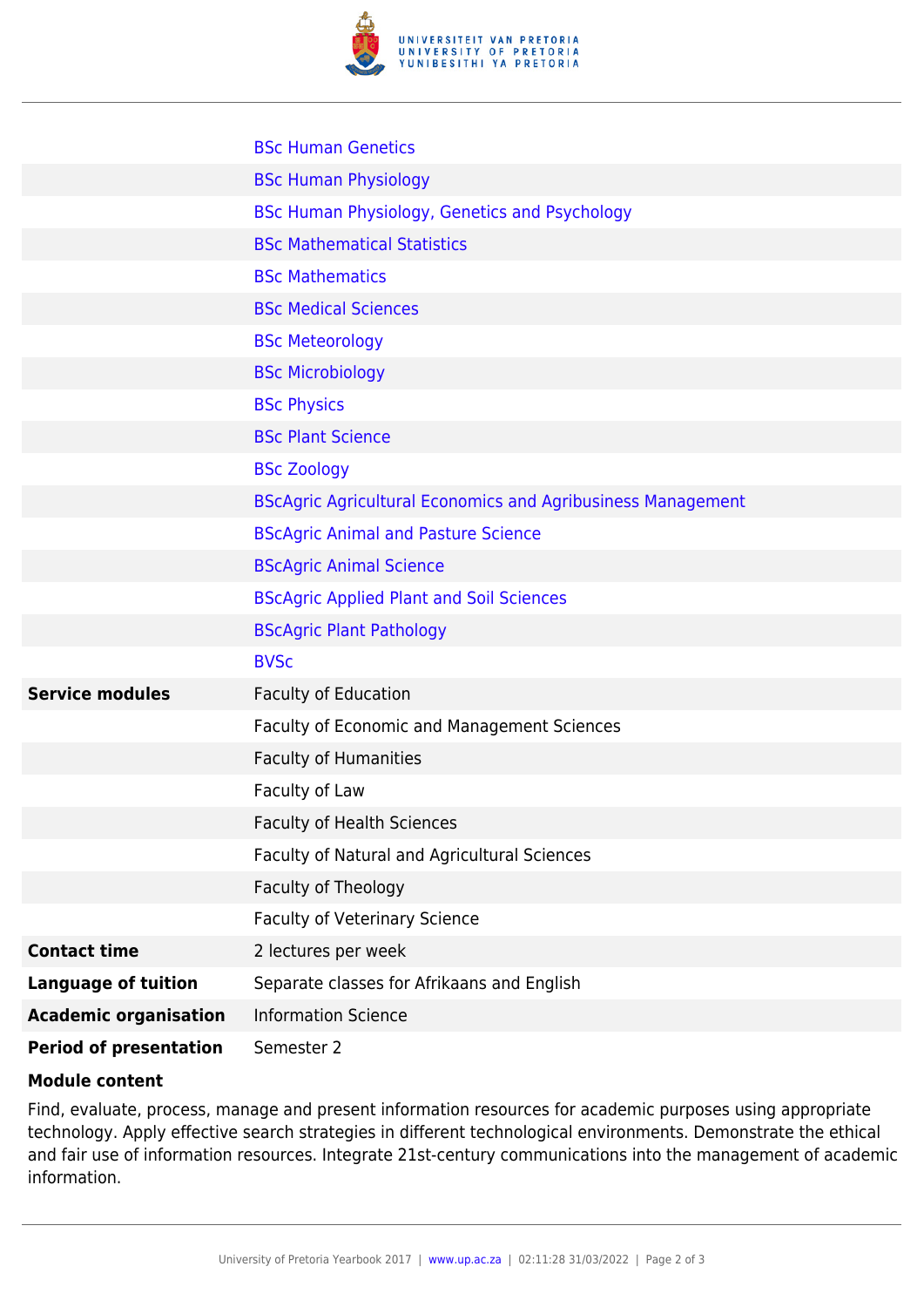

|                               | <b>BSc Human Genetics</b>                                          |
|-------------------------------|--------------------------------------------------------------------|
|                               | <b>BSc Human Physiology</b>                                        |
|                               | <b>BSc Human Physiology, Genetics and Psychology</b>               |
|                               | <b>BSc Mathematical Statistics</b>                                 |
|                               | <b>BSc Mathematics</b>                                             |
|                               | <b>BSc Medical Sciences</b>                                        |
|                               | <b>BSc Meteorology</b>                                             |
|                               | <b>BSc Microbiology</b>                                            |
|                               | <b>BSc Physics</b>                                                 |
|                               | <b>BSc Plant Science</b>                                           |
|                               | <b>BSc Zoology</b>                                                 |
|                               | <b>BScAgric Agricultural Economics and Agribusiness Management</b> |
|                               | <b>BScAgric Animal and Pasture Science</b>                         |
|                               | <b>BScAgric Animal Science</b>                                     |
|                               | <b>BScAgric Applied Plant and Soil Sciences</b>                    |
|                               | <b>BScAgric Plant Pathology</b>                                    |
|                               | <b>BVSc</b>                                                        |
| <b>Service modules</b>        | <b>Faculty of Education</b>                                        |
|                               | Faculty of Economic and Management Sciences                        |
|                               | Faculty of Humanities                                              |
|                               | Faculty of Law                                                     |
|                               | <b>Faculty of Health Sciences</b>                                  |
|                               | Faculty of Natural and Agricultural Sciences                       |
|                               | Faculty of Theology                                                |
|                               | <b>Faculty of Veterinary Science</b>                               |
| <b>Contact time</b>           | 2 lectures per week                                                |
| <b>Language of tuition</b>    | Separate classes for Afrikaans and English                         |
| <b>Academic organisation</b>  | <b>Information Science</b>                                         |
| <b>Period of presentation</b> | Semester 2                                                         |

## **Module content**

Find, evaluate, process, manage and present information resources for academic purposes using appropriate technology. Apply effective search strategies in different technological environments. Demonstrate the ethical and fair use of information resources. Integrate 21st-century communications into the management of academic information.